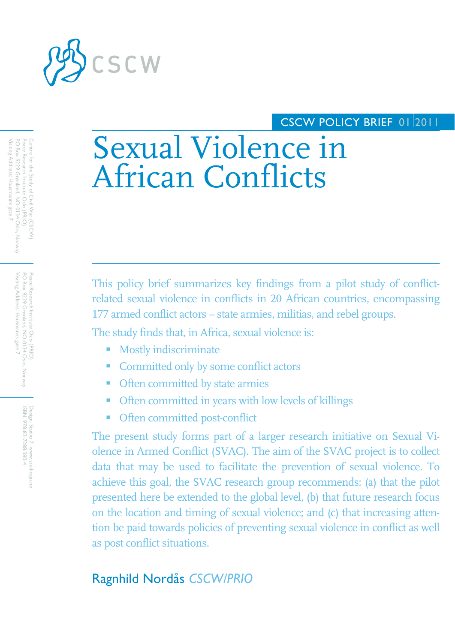

# CSCW POLICY BRIEF 01 2011

# Sexual Violence in African Conflicts

This policy brief summarizes key findings from a pilot study of conflictrelated sexual violence in conflicts in 20 African countries, encompassing 177 armed conflict actors – state armies, militias, and rebel groups.

The study finds that, in Africa, sexual violence is:

- **Mostly indiscriminate**
- Committed only by some conflict actors
- Often committed by state armies
- Often committed in years with low levels of killings
- **•** Often committed post-conflict

The present study forms part of a larger research initiative on Sexual Violence in Armed Conflict (SVAC). The aim of the SVAC project is to collect data that may be used to facilitate the prevention of sexual violence. To achieve this goal, the SVAC research group recommends: (a) that the pilot presented here be extended to the global level, (b) that future research focus on the location and timing of sexual violence; and (c) that increasing attention be paid towards policies of preventing sexual violence in conflict as well as post conflict situations.

# Ragnhild Nordås *CSCW/PRIO*

Visiting Address: Hausmanns gate 7 Visiting Address: Hausmanns gate Peace Research Institute Oslo (PRIO)<br>PO Box 9229 Grønland, NO-0134 Oslo, Norway PO Box 9229 Grønland, NO-0134 Oslo, Norway Peace Research Institute Oslo (PRIO)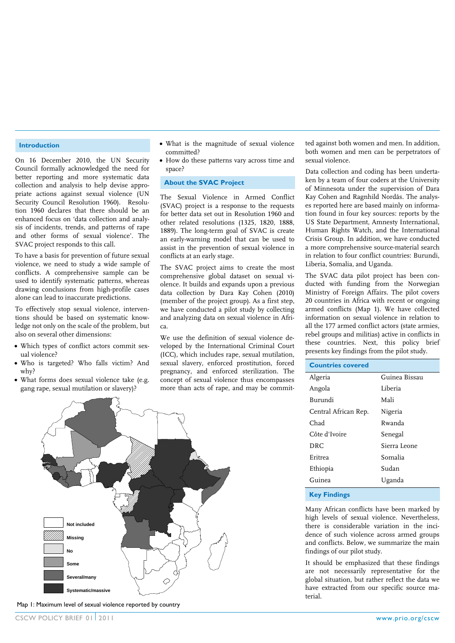#### **Introduction**

On 16 December 2010, the UN Security Council formally acknowledged the need for better reporting and more systematic data collection and analysis to help devise appropriate actions against sexual violence (UN Security Council Resolution 1960). Resolution 1960 declares that there should be an enhanced focus on 'data collection and analysis of incidents, trends, and patterns of rape and other forms of sexual violence'. The SVAC project responds to this call.

To have a basis for prevention of future sexual violence, we need to study a wide sample of conflicts. A comprehensive sample can be used to identify systematic patterns, whereas drawing conclusions from high-profile cases alone can lead to inaccurate predictions.

To effectively stop sexual violence, interventions should be based on systematic knowledge not only on the scale of the problem, but also on several other dimensions:

- Which types of conflict actors commit sexual violence?
- Who is targeted? Who falls victim? And why?
- What forms does sexual violence take (e.g. gang rape, sexual mutilation or slavery)?
- What is the magnitude of sexual violence committed?
- How do these patterns vary across time and space?

### **About the SVAC Project**

The Sexual Violence in Armed Conflict (SVAC) project is a response to the requests for better data set out in Resolution 1960 and other related resolutions (1325, 1820, 1888, 1889). The long-term goal of SVAC is create an early-warning model that can be used to assist in the prevention of sexual violence in conflicts at an early stage.

The SVAC project aims to create the most comprehensive global dataset on sexual violence. It builds and expands upon a previous data collection by Dara Kay Cohen (2010) (member of the project group). As a first step, we have conducted a pilot study by collecting and analyzing data on sexual violence in Africa.

We use the definition of sexual violence developed by the International Criminal Court (ICC), which includes rape, sexual mutilation, sexual slavery, enforced prostitution, forced pregnancy, and enforced sterilization. The concept of sexual violence thus encompasses more than acts of rape, and may be commit-

ted against both women and men. In addition, both women and men can be perpetrators of sexual violence.

Data collection and coding has been undertaken by a team of four coders at the University of Minnesota under the supervision of Dara Kay Cohen and Ragnhild Nordås. The analyses reported here are based mainly on information found in four key sources: reports by the US State Department, Amnesty International, Human Rights Watch, and the International Crisis Group. In addition, we have conducted a more comprehensive source-material search in relation to four conflict countries: Burundi, Liberia, Somalia, and Uganda.

The SVAC data pilot project has been conducted with funding from the Norwegian Ministry of Foreign Affairs. The pilot covers 20 countries in Africa with recent or ongoing armed conflicts (Map 1). We have collected information on sexual violence in relation to all the 177 armed conflict actors (state armies, rebel groups and militias) active in conflicts in these countries. Next, this policy brief presents key findings from the pilot study.

| <b>Countries covered</b> |               |
|--------------------------|---------------|
| Algeria                  | Guinea Bissau |
| Angola                   | Liberia       |
| Burundi                  | Mali          |
| Central African Rep.     | Nigeria       |
| Chad                     | Rwanda        |
| Côte d'Ivoire            | Senegal       |
| DRC.                     | Sierra Leone  |
| Eritrea                  | Somalia       |
| Ethiopia                 | Sudan         |
| Guinea                   | Uganda        |
|                          |               |

**Key Findings** 

Many African conflicts have been marked by high levels of sexual violence. Nevertheless, there is considerable variation in the incidence of such violence across armed groups and conflicts. Below, we summarize the main findings of our pilot study.

It should be emphasized that these findings are not necessarily representative for the global situation, but rather reflect the data we have extracted from our specific source material.



Map 1: Maximum level of sexual violence reported by country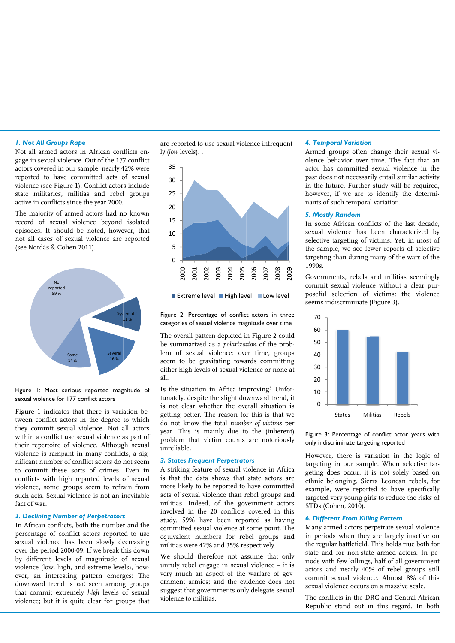#### *1. Not Al ll Groups Rap e*

Not all armed actors in African conflicts engage in se exual violence. . Out of the 177 7 conflict actors covered in our sample, nearly 42% were reported to have committed acts of sexual violence (see Figure 1). Conflict actor s include state mi ilitaries, militi ias and rebel l groups active in conflicts since the year 2000.

The majority of armed actors had no known record of sexual violence beyond isolated episodes. It should be noted, however, that not all ca ases of sexual l violence are reported (see Nord dås & Cohen 20 011).



Figure I: Most serious reported magnitude of sexual violence for 177 conflict actors

Figure 1 indicates that there is variation between conflict actors in the degree to which they commit sexual violence. Not all actors within a conflict use se exual violence a as part of their repertoire of violence. Although sexual violence is rampant in many conflicts, a significant number of conflict actors do not seem to commit these sorts of crimes. Even in conflicts with high reported levels of sexual violence, some groups seem to refra ain from such acts. Sexual violence is not an inevitable fact of wa ar.

#### **2. Declining Number of Perpetrators**

In African conflicts, both the number and the percentage of conflict actors reported to use sexual violence has been slowly decreasing over the p period 2000-09 9. If we break th his down by different levels of magnitude of sexual violence (low, high, and extreme levels), however, an interesting p pattern emerg ges: The downward trend is *not* seen among groups that commit extremely *high* levels of sexual violence; but it is quite clear for groups that are reported to use sexual violence infrequently y (*low* levels). .



Extreme level ■ High level ■ Low level

Figure 2: Percentage of conflict actors in three categories of sexual violence magnitude over time

The overall pattern depicted in Figure 2 could be summarized as a *polarization* of the problem of sexual violence: over time, groups seem to be gravitating towards committing either high levels of sexual violence or none at al ll.

Is the situation in Africa improving? Unfortunately, despite the slight downward trend, it is not clear whether the overall situation is getting better. The reason for this is that we do not know the total *number* of victims per year. This is mainly due to the (inherent) problem that victim counts are notoriously u nreliable.

#### **3. States Frequent Perpetrators**

A striking feature of sexual violence in Africa is that the data shows that state actors are m more likely to b be reported to have committ ted acts of sexual violence than rebel groups and militias. Indeed, of the government actors in nvolved in the e 20 conflicts covered in th his study, 59% have been reported as having committed sexual violence at some point. The equivalent numbers for rebel groups and m militias were 42 2% and 35% re spectively. compared a state of the main of the state of the state of the state of the state of the main of the state of the state of the state of the state of the state of the state of the state of the state of the state of the state Solonial Communistant Communistant Communist Communist Communist Communist Communist Communist Communist Communist Communist Communist Communist Communist Communist Communist Communist Communist Communist Communist Communi

We should therefore not assume that only unruly rebel engage in sexual violence - it is very much an aspect of the warfare of government armies; and the evidence does not suggest that governments only delegate sexual vi iolence to milit

#### *4. Temp poral Variation n*

Armed groups often change their sexual violence behavior over time. The fact that an actor has committed sexual violence in the past does not necessarily entail similar activity in the future. Further study will be required, however, if we are to identify the determinants of such temporal variation.

#### *5. Mostl ly Random*

In some African conflicts of the last decade, sexual violence has been characterized by selective targeting of victims. Yet, in most of the sample, we see fewer reports of selective targeting than during many of the wars of the 1990s.

Governm ments, rebels and militias s seemingly commit sexual violen ce without a clear purposeful selection of victims: the violence seems indiscriminate (Figure 3).



Figure 3: Percentage of conflict actor years with only indiscriminate targeting reported

However, there is variation in the logic of targeting in our sample. When selective targeting d does occur, it is not solely based on ethnic belonging. Sierra Leonean rebels, for example, were reported to have specifically targeted very young girls to reduce the risks of STDs (C Cohen, 2010).

#### **6. Different From Killing Pattern**

Many armed actors perpetrate sexual violence in periods when they are largely inactive on the regular battlefield. This holds true both for state and for non-state armed actors. In periods with few killings, half of all government actors and nearly 40% of rebel groups still commit sexual violence. Almost 8% of this sexual violence occurs on a massive scale.

The conflicts in the DRC and Central African Republic c stand out i n this regard . In both